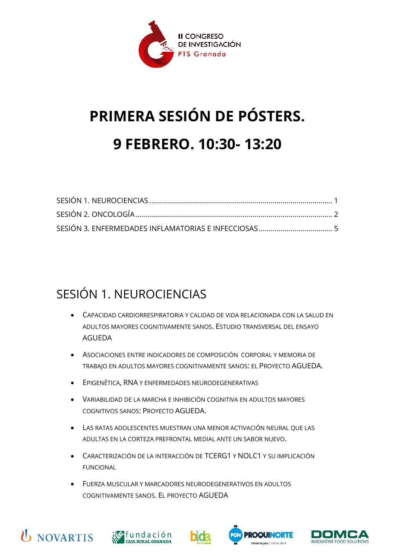

## **PRIMERA SESIÓN DE PÓSTERS. 9 FEBRERO. 10:30- 13:20**

## <span id="page-0-0"></span>SESIÓN 1. NEUROCIENCIAS

- CAPACIDAD CARDIORRESPIRATORIA Y CALIDAD DE VIDA RELACIONADA CON LA SALUD EN ADULTOS MAYORES COGNITIVAMENTE SANOS. ESTUDIO TRANSVERSAL DEL ENSAYO AGUEDA
- ASOCIACIONES ENTRE INDICADORES DE COMPOSICIÓN CORPORAL Y MEMORIA DE TRABAJO EN ADULTOS MAYORES COGNITIVAMENTE SANOS: EL PROYECTO AGUEDA.
- EPIGENÉTICA, RNA Y ENFERMEDADES NEURODEGENERATIVAS
- VARIABILIDAD DE LA MARCHA E INHIBICIÓN COGNITIVA EN ADULTOS MAYORES COGNITIVOS SANOS: PROYECTO AGUEDA.
- LAS RATAS ADOLESCENTES MUESTRAN UNA MENOR ACTIVACIÓN NEURAL QUE LAS ADULTAS EN LA CORTEZA PREFRONTAL MEDIAL ANTE UN SABOR NUEVO.
- CARACTERIZACIÓN DE LA INTERACCIÓN DE TCERG1 Y NOLC1 Y SU IMPLICACIÓN FUNCIONAL
- FUERZA MUSCULAR Y MARCADORES NEURODEGENERATIVOS EN ADULTOS COGNITIVAMENTE SANOS. EL PROYECTO AGUEDA









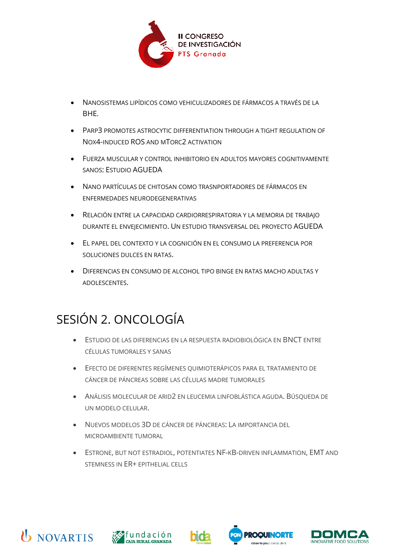

- NANOSISTEMAS LIPÍDICOS COMO VEHICULIZADORES DE FÁRMACOS A TRAVÉS DE LA BHE.
- PARP3 PROMOTES ASTROCYTIC DIFFERENTIATION THROUGH A TIGHT REGULATION OF NOX4-INDUCED ROS AND MTORC2 ACTIVATION
- FUERZA MUSCULAR Y CONTROL INHIBITORIO EN ADULTOS MAYORES COGNITIVAMENTE SANOS: ESTUDIO AGUEDA
- NANO PARTÍCULAS DE CHITOSAN COMO TRASNPORTADORES DE FÁRMACOS EN ENFERMEDADES NEURODEGENERATIVAS
- RELACIÓN ENTRE LA CAPACIDAD CARDIORRESPIRATORIA Y LA MEMORIA DE TRABAJO DURANTE EL ENVEJECIMIENTO. UN ESTUDIO TRANSVERSAL DEL PROYECTO AGUEDA
- EL PAPEL DEL CONTEXTO Y LA COGNICIÓN EN EL CONSUMO LA PREFERENCIA POR SOLUCIONES DULCES EN RATAS.
- DIFERENCIAS EN CONSUMO DE ALCOHOL TIPO BINGE EN RATAS MACHO ADULTAS Y ADOLESCENTES.

## <span id="page-1-0"></span>SESIÓN 2. ONCOLOGÍA

- ESTUDIO DE LAS DIFERENCIAS EN LA RESPUESTA RADIOBIOLÓGICA EN BNCT ENTRE CÉLULAS TUMORALES Y SANAS
- EFECTO DE DIFERENTES REGÍMENES QUIMIOTERÁPICOS PARA EL TRATAMIENTO DE CÁNCER DE PÁNCREAS SOBRE LAS CÉLULAS MADRE TUMORALES
- ANÁLISIS MOLECULAR DE ARID2 EN LEUCEMIA LINFOBLÁSTICA AGUDA. BÚSQUEDA DE UN MODELO CELULAR.
- NUEVOS MODELOS 3D DE CÁNCER DE PÁNCREAS: LA IMPORTANCIA DEL MICROAMBIENTE TUMORAL
- ESTRONE, BUT NOT ESTRADIOL, POTENTIATES NF-KB-DRIVEN INFLAMMATION, EMT AND STEMNESS IN ER+ EPITHELIAL CELLS









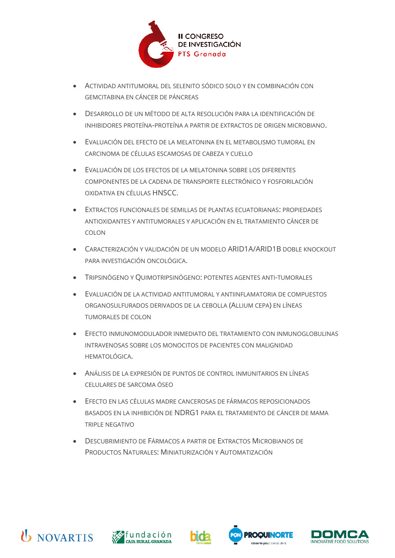

- ACTIVIDAD ANTITUMORAL DEL SELENITO SÓDICO SOLO Y EN COMBINACIÓN CON GEMCITABINA EN CÁNCER DE PÁNCREAS
- DESARROLLO DE UN MÉTODO DE ALTA RESOLUCIÓN PARA LA IDENTIFICACIÓN DE INHIBIDORES PROTEÍNA-PROTEÍNA A PARTIR DE EXTRACTOS DE ORIGEN MICROBIANO.
- EVALUACIÓN DEL EFECTO DE LA MELATONINA EN EL METABOLISMO TUMORAL EN CARCINOMA DE CÉLULAS ESCAMOSAS DE CABEZA Y CUELLO
- EVALUACIÓN DE LOS EFECTOS DE LA MELATONINA SOBRE LOS DIFERENTES COMPONENTES DE LA CADENA DE TRANSPORTE ELECTRÓNICO Y FOSFORILACIÓN OXIDATIVA EN CÉLULAS HNSCC.
- EXTRACTOS FUNCIONALES DE SEMILLAS DE PLANTAS ECUATORIANAS: PROPIEDADES ANTIOXIDANTES Y ANTITUMORALES Y APLICACIÓN EN EL TRATAMIENTO CÁNCER DE COLON
- CARACTERIZACIÓN Y VALIDACIÓN DE UN MODELO ARID1A/ARID1B DOBLE KNOCKOUT PARA INVESTIGACIÓN ONCOLÓGICA.
- TRIPSINÓGENO Y QUIMOTRIPSINÓGENO: POTENTES AGENTES ANTI-TUMORALES
- EVALUACIÓN DE LA ACTIVIDAD ANTITUMORAL Y ANTIINFLAMATORIA DE COMPUESTOS ORGANOSULFURADOS DERIVADOS DE LA CEBOLLA (ALLIUM CEPA) EN LÍNEAS TUMORALES DE COLON
- EFECTO INMUNOMODULADOR INMEDIATO DEL TRATAMIENTO CON INMUNOGLOBULINAS INTRAVENOSAS SOBRE LOS MONOCITOS DE PACIENTES CON MALIGNIDAD HEMATOLÓGICA.
- ANÁLISIS DE LA EXPRESIÓN DE PUNTOS DE CONTROL INMUNITARIOS EN LÍNEAS CELULARES DE SARCOMA ÓSEO
- EFECTO EN LAS CÉLULAS MADRE CANCEROSAS DE FÁRMACOS REPOSICIONADOS BASADOS EN LA INHIBICIÓN DE NDRG1 PARA EL TRATAMIENTO DE CÁNCER DE MAMA TRIPLE NEGATIVO
- DESCUBRIMIENTO DE FÁRMACOS A PARTIR DE EXTRACTOS MICROBIANOS DE PRODUCTOS NATURALES: MINIATURIZACIÓN Y AUTOMATIZACIÓN









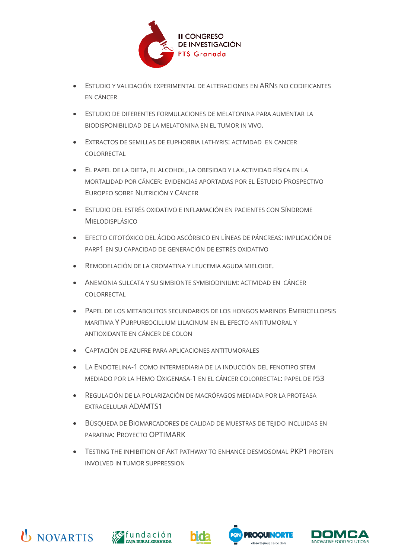

- ESTUDIO Y VALIDACIÓN EXPERIMENTAL DE ALTERACIONES EN ARNS NO CODIFICANTES EN CÁNCER
- ESTUDIO DE DIFERENTES FORMULACIONES DE MELATONINA PARA AUMENTAR LA BIODISPONIBILIDAD DE LA MELATONINA EN EL TUMOR IN VIVO.
- EXTRACTOS DE SEMILLAS DE EUPHORBIA LATHYRIS: ACTIVIDAD EN CANCER COLORRECTAL
- EL PAPEL DE LA DIETA, EL ALCOHOL, LA OBESIDAD Y LA ACTIVIDAD FÍSICA EN LA MORTALIDAD POR CÁNCER: EVIDENCIAS APORTADAS POR EL ESTUDIO PROSPECTIVO EUROPEO SOBRE NUTRICIÓN Y CÁNCER
- ESTUDIO DEL ESTRÉS OXIDATIVO E INFLAMACIÓN EN PACIENTES CON SÍNDROME MIELODISPLÁSICO
- EFECTO CITOTÓXICO DEL ÁCIDO ASCÓRBICO EN LÍNEAS DE PÁNCREAS: IMPLICACIÓN DE PARP1 EN SU CAPACIDAD DE GENERACIÓN DE ESTRÉS OXIDATIVO
- REMODELACIÓN DE LA CROMATINA Y LEUCEMIA AGUDA MIELOIDE.
- ANEMONIA SULCATA Y SU SIMBIONTE SYMBIODINIUM: ACTIVIDAD EN CÁNCER COLORRECTAL
- PAPEL DE LOS METABOLITOS SECUNDARIOS DE LOS HONGOS MARINOS EMERICELLOPSIS MARITIMA Y PURPUREOCILLIUM LILACINUM EN EL EFECTO ANTITUMORAL Y ANTIOXIDANTE EN CÁNCER DE COLON
- CAPTACIÓN DE AZUFRE PARA APLICACIONES ANTITUMORALES
- LA ENDOTELINA-1 COMO INTERMEDIARIA DE LA INDUCCIÓN DEL FENOTIPO STEM MEDIADO POR LA HEMO OXIGENASA-1 EN EL CÁNCER COLORRECTAL: PAPEL DE P53
- REGULACIÓN DE LA POLARIZACIÓN DE MACRÓFAGOS MEDIADA POR LA PROTEASA EXTRACELULAR ADAMTS1
- BÚSQUEDA DE BIOMARCADORES DE CALIDAD DE MUESTRAS DE TEJIDO INCLUIDAS EN PARAFINA: PROYECTO OPTIMARK
- TESTING THE INHIBITION OF AKT PATHWAY TO ENHANCE DESMOSOMAL PKP1 PROTEIN INVOLVED IN TUMOR SUPPRESSION







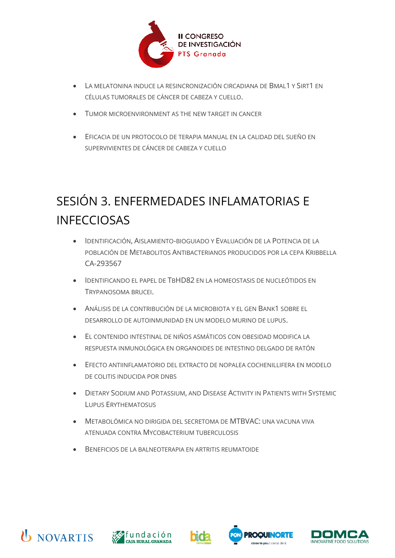

- LA MELATONINA INDUCE LA RESINCRONIZACIÓN CIRCADIANA DE BMAL1 Y SIRT1 EN CÉLULAS TUMORALES DE CÁNCER DE CABEZA Y CUELLO.
- TUMOR MICROENVIRONMENT AS THE NEW TARGET IN CANCER
- EFICACIA DE UN PROTOCOLO DE TERAPIA MANUAL EN LA CALIDAD DEL SUEÑO EN SUPERVIVIENTES DE CÁNCER DE CABEZA Y CUELLO

## <span id="page-4-0"></span>SESIÓN 3. ENFERMEDADES INFLAMATORIAS E INFECCIOSAS

- IDENTIFICACIÓN, AISLAMIENTO-BIOGUIADO Y EVALUACIÓN DE LA POTENCIA DE LA POBLACIÓN DE METABOLITOS ANTIBACTERIANOS PRODUCIDOS POR LA CEPA KRIBBELLA CA-293567
- IDENTIFICANDO EL PAPEL DE TBHD82 EN LA HOMEOSTASIS DE NUCLEÓTIDOS EN TRYPANOSOMA BRUCEI.
- ANÁLISIS DE LA CONTRIBUCIÓN DE LA MICROBIOTA Y EL GEN BANK1 SOBRE EL DESARROLLO DE AUTOINMUNIDAD EN UN MODELO MURINO DE LUPUS.
- EL CONTENIDO INTESTINAL DE NIÑOS ASMÁTICOS CON OBESIDAD MODIFICA LA RESPUESTA INMUNOLÓGICA EN ORGANOIDES DE INTESTINO DELGADO DE RATÓN
- EFECTO ANTIINFLAMATORIO DEL EXTRACTO DE NOPALEA COCHENILLIFERA EN MODELO DE COLITIS INDUCIDA POR DNBS
- DIETARY SODIUM AND POTASSIUM, AND DISEASE ACTIVITY IN PATIENTS WITH SYSTEMIC LUPUS ERYTHEMATOSUS
- METABOLÓMICA NO DIRIGIDA DEL SECRETOMA DE MTBVAC: UNA VACUNA VIVA ATENUADA CONTRA MYCOBACTERIUM TUBERCULOSIS
- BENEFICIOS DE LA BALNEOTERAPIA EN ARTRITIS REUMATOIDE









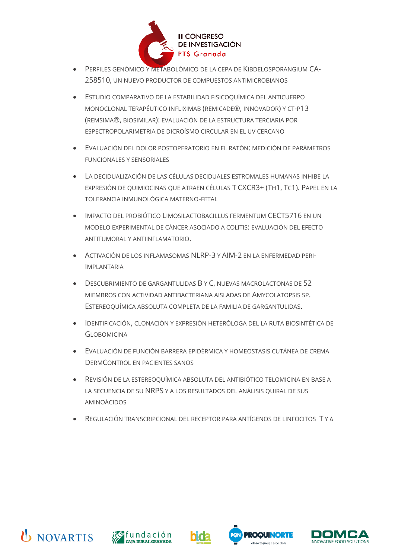

- PERFILES GENÓMICO Y METABOLÓMICO DE LA CEPA DE KIBDELOSPORANGIUM CA-258510, UN NUEVO PRODUCTOR DE COMPUESTOS ANTIMICROBIANOS
- ESTUDIO COMPARATIVO DE LA ESTABILIDAD FISICOQUÍMICA DEL ANTICUERPO MONOCLONAL TERAPÉUTICO INFLIXIMAB (REMICADE®, INNOVADOR) Y CT-P13 (REMSIMA®, BIOSIMILAR): EVALUACIÓN DE LA ESTRUCTURA TERCIARIA POR ESPECTROPOLARIMETRIA DE DICROÍSMO CIRCULAR EN EL UV CERCANO
- EVALUACIÓN DEL DOLOR POSTOPERATORIO EN EL RATÓN: MEDICIÓN DE PARÁMETROS FUNCIONALES Y SENSORIALES
- LA DECIDUALIZACIÓN DE LAS CÉLULAS DECIDUALES ESTROMALES HUMANAS INHIBE LA EXPRESIÓN DE QUIMIOCINAS QUE ATRAEN CÉLULAS T CXCR3+ (TH1, TC1). PAPEL EN LA TOLERANCIA INMUNOLÓGICA MATERNO-FETAL
- IMPACTO DEL PROBIÓTICO LIMOSILACTOBACILLUS FERMENTUM CECT5716 EN UN MODELO EXPERIMENTAL DE CÁNCER ASOCIADO A COLITIS: EVALUACIÓN DEL EFECTO ANTITUMORAL Y ANTIINFLAMATORIO.
- ACTIVACIÓN DE LOS INFLAMASOMAS NLRP-3 Y AIM-2 EN LA ENFERMEDAD PERI-IMPLANTARIA
- DESCUBRIMIENTO DE GARGANTULIDAS B Y C, NUEVAS MACROLACTONAS DE 52 MIEMBROS CON ACTIVIDAD ANTIBACTERIANA AISLADAS DE AMYCOLATOPSIS SP. ESTEREOQUÍMICA ABSOLUTA COMPLETA DE LA FAMILIA DE GARGANTULIDAS.
- IDENTIFICACIÓN, CLONACIÓN Y EXPRESIÓN HETERÓLOGA DEL LA RUTA BIOSINTÉTICA DE **GLOBOMICINA**
- EVALUACIÓN DE FUNCIÓN BARRERA EPIDÉRMICA Y HOMEOSTASIS CUTÁNEA DE CREMA DERMCONTROL EN PACIENTES SANOS
- REVISIÓN DE LA ESTEREOQUÍMICA ABSOLUTA DEL ANTIBIÓTICO TELOMICINA EN BASE A LA SECUENCIA DE SU NRPS Y A LOS RESULTADOS DEL ANÁLISIS QUIRAL DE SUS AMINOÁCIDOS
- REGULACIÓN TRANSCRIPCIONAL DEL RECEPTOR PARA ANTÍGENOS DE LINFOCITOS T Y Δ